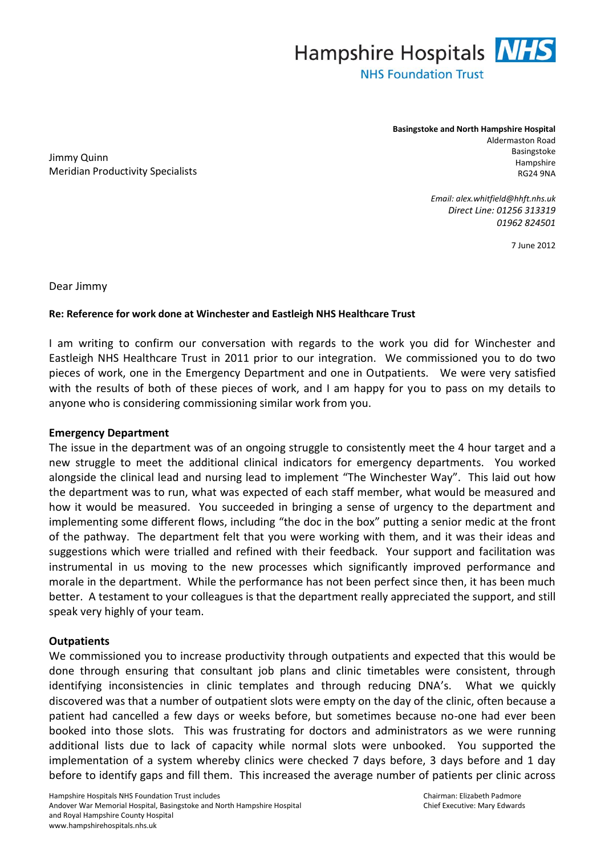

Jimmy Quinn Meridian Productivity Specialists **Basingstoke and North Hampshire Hospital** Aldermaston Road Basingstoke Hampshire RG24 9NA

> *Email: alex.whitfield@hhft.nhs.uk Direct Line: 01256 313319 01962 824501*

> > 7 June 2012

Dear Jimmy

## **Re: Reference for work done at Winchester and Eastleigh NHS Healthcare Trust**

I am writing to confirm our conversation with regards to the work you did for Winchester and Eastleigh NHS Healthcare Trust in 2011 prior to our integration. We commissioned you to do two pieces of work, one in the Emergency Department and one in Outpatients. We were very satisfied with the results of both of these pieces of work, and I am happy for you to pass on my details to anyone who is considering commissioning similar work from you.

## **Emergency Department**

The issue in the department was of an ongoing struggle to consistently meet the 4 hour target and a new struggle to meet the additional clinical indicators for emergency departments. You worked alongside the clinical lead and nursing lead to implement "The Winchester Way". This laid out how the department was to run, what was expected of each staff member, what would be measured and how it would be measured. You succeeded in bringing a sense of urgency to the department and implementing some different flows, including "the doc in the box" putting a senior medic at the front of the pathway. The department felt that you were working with them, and it was their ideas and suggestions which were trialled and refined with their feedback. Your support and facilitation was instrumental in us moving to the new processes which significantly improved performance and morale in the department. While the performance has not been perfect since then, it has been much better. A testament to your colleagues is that the department really appreciated the support, and still speak very highly of your team.

## **Outpatients**

We commissioned you to increase productivity through outpatients and expected that this would be done through ensuring that consultant job plans and clinic timetables were consistent, through identifying inconsistencies in clinic templates and through reducing DNA's. What we quickly discovered was that a number of outpatient slots were empty on the day of the clinic, often because a patient had cancelled a few days or weeks before, but sometimes because no-one had ever been booked into those slots. This was frustrating for doctors and administrators as we were running additional lists due to lack of capacity while normal slots were unbooked. You supported the implementation of a system whereby clinics were checked 7 days before, 3 days before and 1 day before to identify gaps and fill them. This increased the average number of patients per clinic across